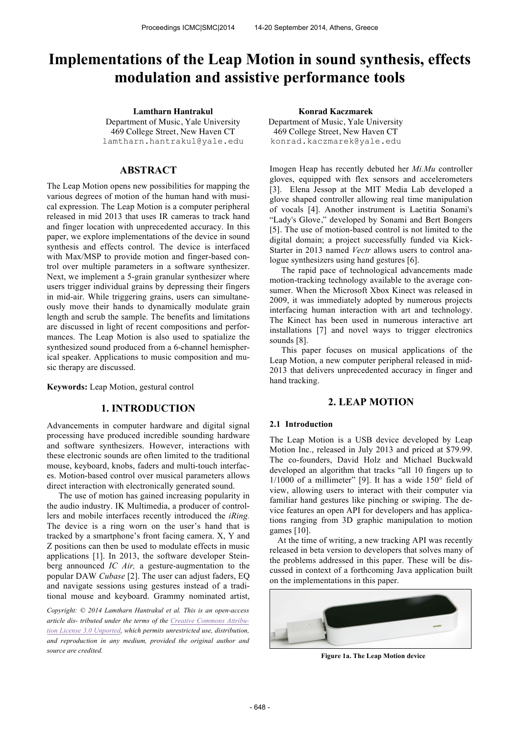# **Implementations of the Leap Motion in sound synthesis, effects modulation and assistive performance tools**

**Lamtharn Hantrakul Konrad Kaczmarek** Department of Music, Yale University 469 College Street, New Haven CT lamtharn.hantrakul@yale.edu

## **ABSTRACT**

The Leap Motion opens new possibilities for mapping the various degrees of motion of the human hand with musical expression. The Leap Motion is a computer peripheral released in mid 2013 that uses IR cameras to track hand and finger location with unprecedented accuracy. In this paper, we explore implementations of the device in sound synthesis and effects control. The device is interfaced with Max/MSP to provide motion and finger-based control over multiple parameters in a software synthesizer. Next, we implement a 5-grain granular synthesizer where users trigger individual grains by depressing their fingers in mid-air. While triggering grains, users can simultaneously move their hands to dynamically modulate grain length and scrub the sample. The benefits and limitations are discussed in light of recent compositions and performances. The Leap Motion is also used to spatialize the synthesized sound produced from a 6-channel hemispherical speaker. Applications to music composition and music therapy are discussed.

**Keywords:** Leap Motion, gestural control

### **1. INTRODUCTION**

Advancements in computer hardware and digital signal processing have produced incredible sounding hardware and software synthesizers. However, interactions with these electronic sounds are often limited to the traditional mouse, keyboard, knobs, faders and multi-touch interfaces. Motion-based control over musical parameters allows direct interaction with electronically generated sound.

The use of motion has gained increasing popularity in the audio industry. IK Multimedia, a producer of controllers and mobile interfaces recently introduced the *iRing.*  The device is a ring worn on the user's hand that is tracked by a smartphone's front facing camera. X, Y and Z positions can then be used to modulate effects in music applications [1]. In 2013, the software developer Steinberg announced *IC Air,* a gesture-augmentation to the popular DAW *Cubase* [2]. The user can adjust faders, EQ and navigate sessions using gestures instead of a traditional mouse and keyboard. Grammy nominated artist,

*Copyright: © 2014 Lamtharn Hantrakul et al. This is an open-access article dis- tributed under the terms of the Creative Commons Attribution License 3.0 Unported, which permits unrestricted use, distribution, and reproduction in any medium, provided the original author and source are credited.*

Department of Music, Yale University 469 College Street, New Haven CT konrad.kaczmarek@yale.edu

Imogen Heap has recently debuted her *Mi.Mu* controller gloves, equipped with flex sensors and accelerometers [3]. Elena Jessop at the MIT Media Lab developed a glove shaped controller allowing real time manipulation of vocals [4]. Another instrument is Laetitia Sonami's "Lady's Glove," developed by Sonami and Bert Bongers [5]. The use of motion-based control is not limited to the digital domain; a project successfully funded via Kick-Starter in 2013 named *Vectr* allows users to control analogue synthesizers using hand gestures [6].

The rapid pace of technological advancements made motion-tracking technology available to the average consumer. When the Microsoft Xbox Kinect was released in 2009, it was immediately adopted by numerous projects interfacing human interaction with art and technology. The Kinect has been used in numerous interactive art installations [7] and novel ways to trigger electronics sounds [8].

This paper focuses on musical applications of the Leap Motion, a new computer peripheral released in mid-2013 that delivers unprecedented accuracy in finger and hand tracking.

## **2. LEAP MOTION**

### **2.1 Introduction**

The Leap Motion is a USB device developed by Leap Motion Inc., released in July 2013 and priced at \$79.99. The co-founders, David Holz and Michael Buckwald developed an algorithm that tracks "all 10 fingers up to  $1/1000$  of a millimeter" [9]. It has a wide  $150^{\circ}$  field of view, allowing users to interact with their computer via familiar hand gestures like pinching or swiping. The device features an open API for developers and has applications ranging from 3D graphic manipulation to motion games [10].

At the time of writing, a new tracking API was recently released in beta version to developers that solves many of the problems addressed in this paper. These will be discussed in context of a forthcoming Java application built on the implementations in this paper.



**Figure 1a. The Leap Motion device**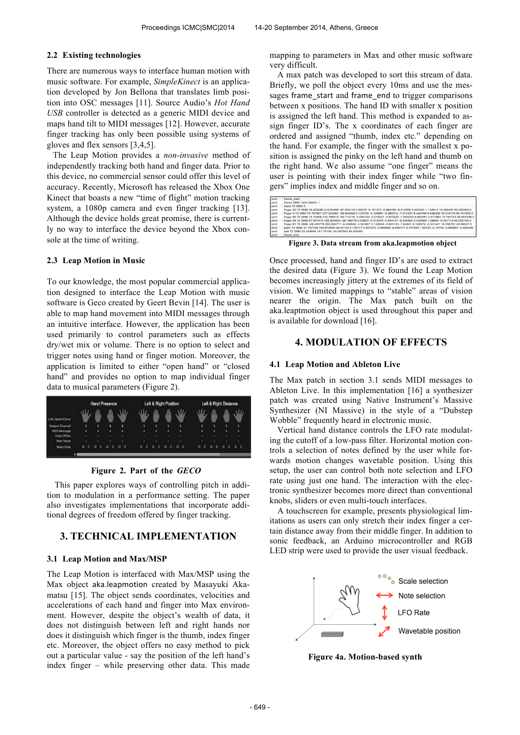### **2.2 Existing technologies**

There are numerous ways to interface human motion with music software. For example, *SimpleKinect* is an application developed by Jon Bellona that translates limb position into OSC messages [11]. Source Audio's *Hot Hand USB* controller is detected as a generic MIDI device and maps hand tilt to MIDI messages [12]. However, accurate finger tracking has only been possible using systems of gloves and flex sensors [3,4,5].

The Leap Motion provides a *non-invasive* method of independently tracking both hand and finger data. Prior to this device, no commercial sensor could offer this level of accuracy. Recently, Microsoft has released the Xbox One Kinect that boasts a new "time of flight" motion tracking system, a 1080p camera and even finger tracking [13]. Although the device holds great promise, there is currently no way to interface the device beyond the Xbox console at the time of writing.

## **2.3 Leap Motion in Music**

To our knowledge, the most popular commercial application designed to interface the Leap Motion with music software is Geco created by Geert Bevin [14]. The user is able to map hand movement into MIDI messages through an intuitive interface. However, the application has been used primarily to control parameters such as effects dry/wet mix or volume. There is no option to select and trigger notes using hand or finger motion. Moreover, the application is limited to either "open hand" or "closed hand" and provides no option to map individual finger data to musical parameters (Figure 2).



### **Figure 2. Part of the** *GECO*

This paper explores ways of controlling pitch in addition to modulation in a performance setting. The paper also investigates implementations that incorporate additional degrees of freedom offered by finger tracking.

# **3. TECHNICAL IMPLEMENTATION**

### **3.1 Leap Motion and Max/MSP**

The Leap Motion is interfaced with Max/MSP using the Max object aka.leapmotion created by Masayuki Akamatsu [15]. The object sends coordinates, velocities and accelerations of each hand and finger into Max environment. However, despite the object's wealth of data, it does not distinguish between left and right hands nor does it distinguish which finger is the thumb, index finger etc. Moreover, the object offers no easy method to pick out a particular value - say the position of the left hand's index finger – while preserving other data. This made

mapping to parameters in Max and other music software very difficult.

A max patch was developed to sort this stream of data. Briefly, we poll the object every 10ms and use the messages frame\_start and frame\_end to trigger comparisons between x positions. The hand ID with smaller x position is assigned the left hand. This method is expanded to assign finger ID's. The x coordinates of each finger are ordered and assigned "thumb, index etc." depending on the hand. For example, the finger with the smallest x position is assigned the pinky on the left hand and thumb on the right hand. We also assume "one finger" means the user is pointing with their index finger while "two fingers" implies index and middle finger and so on.

| print        | frame start                                                                                                                      |
|--------------|----------------------------------------------------------------------------------------------------------------------------------|
| print        | frame 3980 1232186031 1                                                                                                          |
| <b>Drint</b> | hand 72 3980 5                                                                                                                   |
| print        | finger 20 72 3980 46.283085 216.64296 -67.008118 0.06476 -0.161373 -0.984766 -8.412569 4.503524 1.134614 16.383497 63.352505 0   |
| print        | finger 3 72 3980 70.767067 207.224991 -58.842094 0.135739 -0.128991 -0.982312 -7.210351 9.446795 0.648256 16.018118 56.761002 0  |
| print        | finger 95 72 3980 14,70568 215,796616 -56,715118 -0,046193 -0,216337 -0,975225 -7,554035 9,690591 2,671884 16,797703 56,697449 0 |
| print        | finger 28 72 3980 97,857475 192,830063 -28,188778 0,53603 -0,012479 -0,844107 -8,535962 3,435469 1,39894 15,501118 46,252182 0   |
| print        | finger 81 72 3980 -28.420778 202.594711 -6.408555 -0.361807 0.122849 -0.924123 -7.63601 9.162973 -0.331441 19.706701 43.09037 0  |
| print        | palm 72 3980 31.797726 195.972595 25.40123 0.118177 0.407275 -0.905628 -6.038777 5.747324 1.92123 -0.16734 -0.890807 -0.422446   |
| print        | ball 72 3980 25.344694 141.70108 -24.097643 84.930481                                                                            |
| print        | frame end                                                                                                                        |

**Figure 3. Data stream from aka.leapmotion object**

Once processed, hand and finger ID's are used to extract the desired data (Figure 3). We found the Leap Motion becomes increasingly jittery at the extremes of its field of vision. We limited mappings to "stable" areas of vision nearer the origin. The Max patch built on the aka.leaptmotion object is used throughout this paper and is available for download [16].

# **4. MODULATION OF EFFECTS**

### **4.1 Leap Motion and Ableton Live**

The Max patch in section 3.1 sends MIDI messages to Ableton Live. In this implementation [16] a synthesizer patch was created using Native Instrument's Massive Synthesizer (NI Massive) in the style of a "Dubstep Wobble" frequently heard in electronic music.

Vertical hand distance controls the LFO rate modulating the cutoff of a low-pass filter. Horizontal motion controls a selection of notes defined by the user while forwards motion changes wavetable position. Using this setup, the user can control both note selection and LFO rate using just one hand. The interaction with the electronic synthesizer becomes more direct than conventional knobs, sliders or even multi-touch interfaces.

A touchscreen for example, presents physiological limitations as users can only stretch their index finger a certain distance away from their middle finger. In addition to sonic feedback, an Arduino microcontroller and RGB LED strip were used to provide the user visual feedback.



**Figure 4a. Motion-based synth**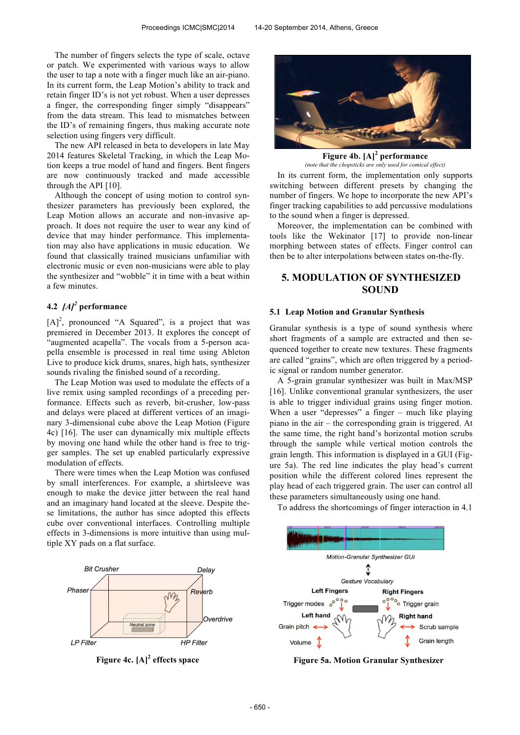The number of fingers selects the type of scale, octave or patch. We experimented with various ways to allow the user to tap a note with a finger much like an air-piano. In its current form, the Leap Motion's ability to track and retain finger ID's is not yet robust. When a user depresses a finger, the corresponding finger simply "disappears" from the data stream. This lead to mismatches between the ID's of remaining fingers, thus making accurate note selection using fingers very difficult.

The new API released in beta to developers in late May 2014 features Skeletal Tracking, in which the Leap Motion keeps a true model of hand and fingers. Bent fingers are now continuously tracked and made accessible through the API [10].

Although the concept of using motion to control synthesizer parameters has previously been explored, the Leap Motion allows an accurate and non-invasive approach. It does not require the user to wear any kind of device that may hinder performance. This implementation may also have applications in music education. We found that classically trained musicians unfamiliar with electronic music or even non-musicians were able to play the synthesizer and "wobble" it in time with a beat within a few minutes.

# **4.2** *[A]<sup>2</sup>* **performance**

 $[A]^2$ , pronounced "A Squared", is a project that was premiered in December 2013. It explores the concept of "augmented acapella". The vocals from a 5-person acapella ensemble is processed in real time using Ableton Live to produce kick drums, snares, high hats, synthesizer sounds rivaling the finished sound of a recording.

The Leap Motion was used to modulate the effects of a live remix using sampled recordings of a preceding performance. Effects such as reverb, bit-crusher, low-pass and delays were placed at different vertices of an imaginary 3-dimensional cube above the Leap Motion (Figure 4c) [16]. The user can dynamically mix multiple effects by moving one hand while the other hand is free to trigger samples. The set up enabled particularly expressive modulation of effects.

There were times when the Leap Motion was confused by small interferences. For example, a shirtsleeve was enough to make the device jitter between the real hand and an imaginary hand located at the sleeve. Despite these limitations, the author has since adopted this effects cube over conventional interfaces. Controlling multiple effects in 3-dimensions is more intuitive than using multiple XY pads on a flat surface.



**Figure 4c. [A]<sup>2</sup>**



**Figure 4b. [A]<sup>2</sup> performance**

In its current form, the implementation only supports switching between different presets by changing the number of fingers. We hope to incorporate the new API's finger tracking capabilities to add percussive modulations to the sound when a finger is depressed. *(note that the chopsticks are only used for comical effect)*

Moreover, the implementation can be combined with tools like the Wekinator [17] to provide non-linear morphing between states of effects. Finger control can then be to alter interpolations between states on-the-fly.

# **5. MODULATION OF SYNTHESIZED SOUND**

#### **5.1 Leap Motion and Granular Synthesis**

Granular synthesis is a type of sound synthesis where short fragments of a sample are extracted and then sequenced together to create new textures. These fragments are called "grains", which are often triggered by a periodic signal or random number generator.

A 5-grain granular synthesizer was built in Max/MSP [16]. Unlike conventional granular synthesizers, the user is able to trigger individual grains using finger motion. When a user "depresses" a finger – much like playing piano in the air – the corresponding grain is triggered. At the same time, the right hand's horizontal motion scrubs through the sample while vertical motion controls the grain length. This information is displayed in a GUI (Figure 5a). The red line indicates the play head's current position while the different colored lines represent the play head of each triggered grain. The user can control all these parameters simultaneously using one hand.

To address the shortcomings of finger interaction in 4.1



**Figure 5a. Motion Granular Synthesizer**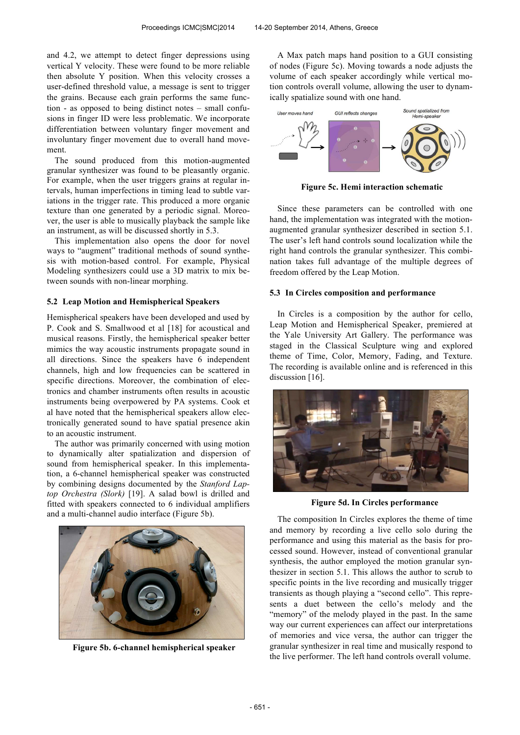and 4.2, we attempt to detect finger depressions using vertical Y velocity. These were found to be more reliable then absolute Y position. When this velocity crosses a user-defined threshold value, a message is sent to trigger the grains. Because each grain performs the same function - as opposed to being distinct notes – small confusions in finger ID were less problematic. We incorporate differentiation between voluntary finger movement and involuntary finger movement due to overall hand movement.

The sound produced from this motion-augmented granular synthesizer was found to be pleasantly organic. For example, when the user triggers grains at regular intervals, human imperfections in timing lead to subtle variations in the trigger rate. This produced a more organic texture than one generated by a periodic signal. Moreover, the user is able to musically playback the sample like an instrument, as will be discussed shortly in 5.3.

This implementation also opens the door for novel ways to "augment" traditional methods of sound synthesis with motion-based control. For example, Physical Modeling synthesizers could use a 3D matrix to mix between sounds with non-linear morphing.

### **5.2 Leap Motion and Hemispherical Speakers**

Hemispherical speakers have been developed and used by P. Cook and S. Smallwood et al [18] for acoustical and musical reasons. Firstly, the hemispherical speaker better mimics the way acoustic instruments propagate sound in all directions. Since the speakers have 6 independent channels, high and low frequencies can be scattered in specific directions. Moreover, the combination of electronics and chamber instruments often results in acoustic instruments being overpowered by PA systems. Cook et al have noted that the hemispherical speakers allow electronically generated sound to have spatial presence akin to an acoustic instrument.

The author was primarily concerned with using motion to dynamically alter spatialization and dispersion of sound from hemispherical speaker. In this implementation, a 6-channel hemispherical speaker was constructed by combining designs documented by the *Stanford Laptop Orchestra (Slork)* [19]. A salad bowl is drilled and fitted with speakers connected to 6 individual amplifiers and a multi-channel audio interface (Figure 5b).



**Figure 5b. 6-channel hemispherical speaker**

A Max patch maps hand position to a GUI consisting of nodes (Figure 5c). Moving towards a node adjusts the volume of each speaker accordingly while vertical motion controls overall volume, allowing the user to dynamically spatialize sound with one hand.



**Figure 5c. Hemi interaction schematic**

Since these parameters can be controlled with one hand, the implementation was integrated with the motionaugmented granular synthesizer described in section 5.1. The user's left hand controls sound localization while the right hand controls the granular synthesizer. This combination takes full advantage of the multiple degrees of freedom offered by the Leap Motion.

### **5.3 In Circles composition and performance**

In Circles is a composition by the author for cello, Leap Motion and Hemispherical Speaker, premiered at the Yale University Art Gallery. The performance was staged in the Classical Sculpture wing and explored theme of Time, Color, Memory, Fading, and Texture. The recording is available online and is referenced in this discussion [16].



**Figure 5d. In Circles performance**

The composition In Circles explores the theme of time and memory by recording a live cello solo during the performance and using this material as the basis for processed sound. However, instead of conventional granular synthesis, the author employed the motion granular synthesizer in section 5.1. This allows the author to scrub to specific points in the live recording and musically trigger transients as though playing a "second cello". This represents a duet between the cello's melody and the "memory" of the melody played in the past. In the same way our current experiences can affect our interpretations of memories and vice versa, the author can trigger the granular synthesizer in real time and musically respond to the live performer. The left hand controls overall volume.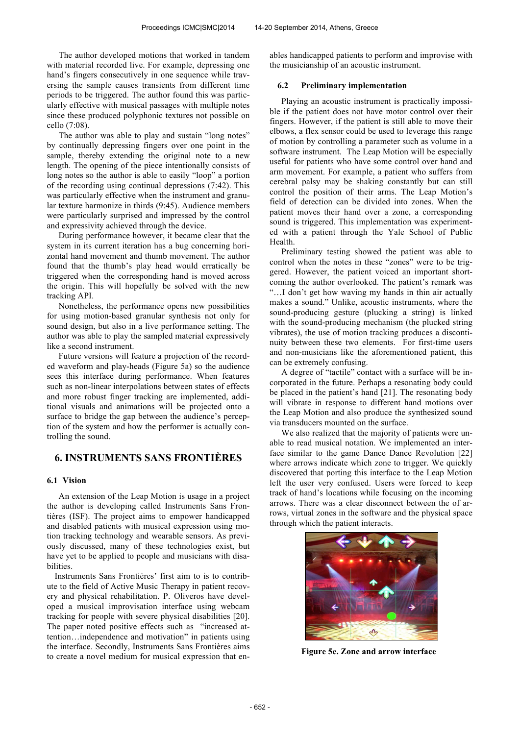The author developed motions that worked in tandem with material recorded live. For example, depressing one hand's fingers consecutively in one sequence while traversing the sample causes transients from different time periods to be triggered. The author found this was particularly effective with musical passages with multiple notes since these produced polyphonic textures not possible on cello (7:08).

The author was able to play and sustain "long notes" by continually depressing fingers over one point in the sample, thereby extending the original note to a new length. The opening of the piece intentionally consists of long notes so the author is able to easily "loop" a portion of the recording using continual depressions (7:42). This was particularly effective when the instrument and granular texture harmonize in thirds (9:45). Audience members were particularly surprised and impressed by the control and expressivity achieved through the device.

During performance however, it became clear that the system in its current iteration has a bug concerning horizontal hand movement and thumb movement. The author found that the thumb's play head would erratically be triggered when the corresponding hand is moved across the origin. This will hopefully be solved with the new tracking API.

Nonetheless, the performance opens new possibilities for using motion-based granular synthesis not only for sound design, but also in a live performance setting. The author was able to play the sampled material expressively like a second instrument.

Future versions will feature a projection of the recorded waveform and play-heads (Figure 5a) so the audience sees this interface during performance. When features such as non-linear interpolations between states of effects and more robust finger tracking are implemented, additional visuals and animations will be projected onto a surface to bridge the gap between the audience's perception of the system and how the performer is actually controlling the sound.

# **6. INSTRUMENTS SANS FRONTIÈRES**

### **6.1 Vision**

An extension of the Leap Motion is usage in a project the author is developing called Instruments Sans Frontières (ISF). The project aims to empower handicapped and disabled patients with musical expression using motion tracking technology and wearable sensors. As previously discussed, many of these technologies exist, but have yet to be applied to people and musicians with disabilities.

Instruments Sans Frontières' first aim to is to contribute to the field of Active Music Therapy in patient recovery and physical rehabilitation. P. Oliveros have developed a musical improvisation interface using webcam tracking for people with severe physical disabilities [20]. The paper noted positive effects such as "increased attention…independence and motivation" in patients using the interface. Secondly, Instruments Sans Frontières aims to create a novel medium for musical expression that enables handicapped patients to perform and improvise with the musicianship of an acoustic instrument.

#### **6.2 Preliminary implementation**

Playing an acoustic instrument is practically impossible if the patient does not have motor control over their fingers. However, if the patient is still able to move their elbows, a flex sensor could be used to leverage this range of motion by controlling a parameter such as volume in a software instrument. The Leap Motion will be especially useful for patients who have some control over hand and arm movement. For example, a patient who suffers from cerebral palsy may be shaking constantly but can still control the position of their arms. The Leap Motion's field of detection can be divided into zones. When the patient moves their hand over a zone, a corresponding sound is triggered. This implementation was experimented with a patient through the Yale School of Public Health.

Preliminary testing showed the patient was able to control when the notes in these "zones" were to be triggered. However, the patient voiced an important shortcoming the author overlooked. The patient's remark was "…I don't get how waving my hands in thin air actually makes a sound." Unlike, acoustic instruments, where the sound-producing gesture (plucking a string) is linked with the sound-producing mechanism (the plucked string vibrates), the use of motion tracking produces a discontinuity between these two elements. For first-time users and non-musicians like the aforementioned patient, this can be extremely confusing.

A degree of "tactile" contact with a surface will be incorporated in the future. Perhaps a resonating body could be placed in the patient's hand [21]. The resonating body will vibrate in response to different hand motions over the Leap Motion and also produce the synthesized sound via transducers mounted on the surface.

We also realized that the majority of patients were unable to read musical notation. We implemented an interface similar to the game Dance Dance Revolution [22] where arrows indicate which zone to trigger. We quickly discovered that porting this interface to the Leap Motion left the user very confused. Users were forced to keep track of hand's locations while focusing on the incoming arrows. There was a clear disconnect between the of arrows, virtual zones in the software and the physical space through which the patient interacts.



**Figure 5e. Zone and arrow interface**